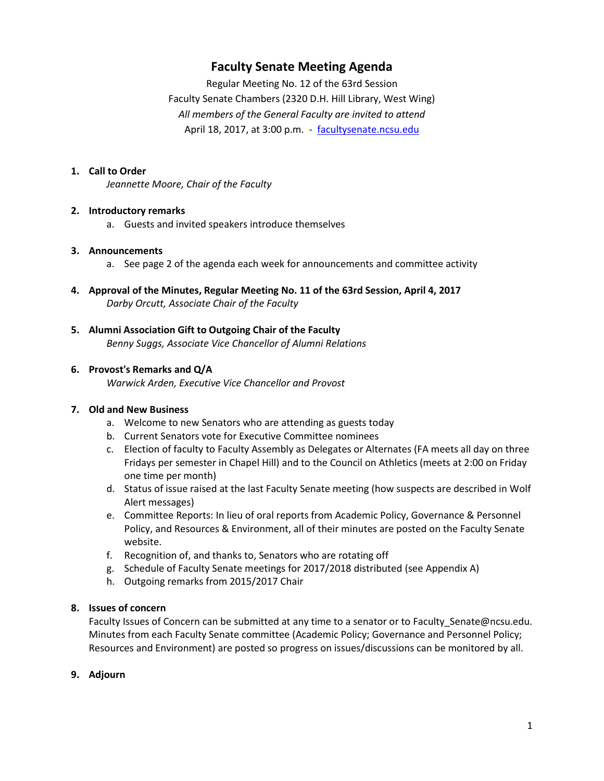# **Faculty Senate Meeting Agenda**

Regular Meeting No. 12 of the 63rd Session Faculty Senate Chambers (2320 D.H. Hill Library, West Wing) *All members of the General Faculty are invited to attend* April 18, 2017, at 3:00 p.m. - [facultysenate.ncsu.edu](https://facultysenate.ncsu.edu/)

#### **1. Call to Order**

*Jeannette Moore, Chair of the Faculty*

#### **2. Introductory remarks**

a. Guests and invited speakers introduce themselves

#### **3. Announcements**

- a. See page 2 of the agenda each week for announcements and committee activity
- **4. Approval of the Minutes, Regular Meeting No. 11 of the 63rd Session, April 4, 2017** *Darby Orcutt, Associate Chair of the Faculty*
- **5. Alumni Association Gift to Outgoing Chair of the Faculty** *Benny Suggs, Associate Vice Chancellor of Alumni Relations*

#### **6. Provost's Remarks and Q/A**

*Warwick Arden, Executive Vice Chancellor and Provost*

#### **7. Old and New Business**

- a. Welcome to new Senators who are attending as guests today
- b. Current Senators vote for Executive Committee nominees
- c. Election of faculty to Faculty Assembly as Delegates or Alternates (FA meets all day on three Fridays per semester in Chapel Hill) and to the Council on Athletics (meets at 2:00 on Friday one time per month)
- d. Status of issue raised at the last Faculty Senate meeting (how suspects are described in Wolf Alert messages)
- e. Committee Reports: In lieu of oral reports from Academic Policy, Governance & Personnel Policy, and Resources & Environment, all of their minutes are posted on the Faculty Senate website.
- f. Recognition of, and thanks to, Senators who are rotating off
- g. Schedule of Faculty Senate meetings for 2017/2018 distributed (see Appendix A)
- h. Outgoing remarks from 2015/2017 Chair

## **8. Issues of concern**

Faculty Issues of Concern can be submitted at any time to a senator or to Faculty\_Senate@ncsu.edu. Minutes from each Faculty Senate committee (Academic Policy; Governance and Personnel Policy; Resources and Environment) are posted so progress on issues/discussions can be monitored by all.

#### **9. Adjourn**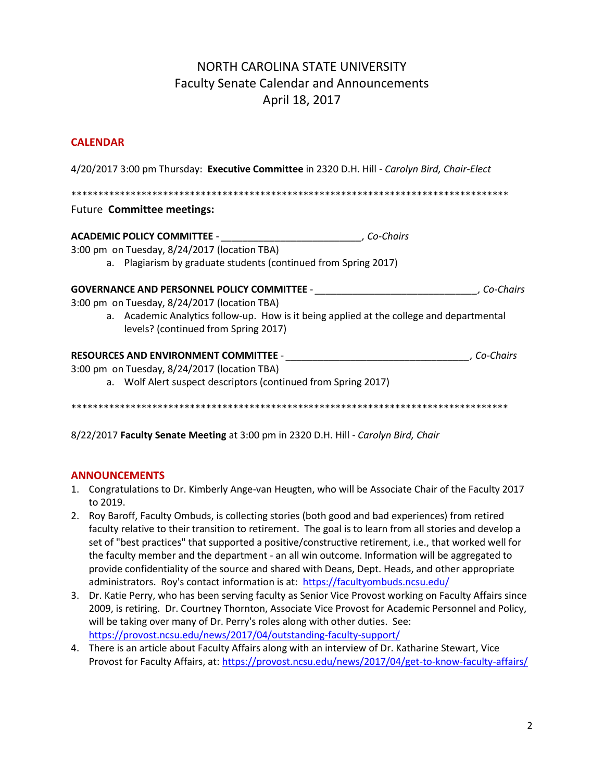# NORTH CAROLINA STATE UNIVERSITY Faculty Senate Calendar and Announcements April 18, 2017

## **CALENDAR**

4/20/2017 3:00 pm Thursday: **Executive Committee** in 2320 D.H. Hill *- Carolyn Bird, Chair-Elect* \*\*\*\*\*\*\*\*\*\*\*\*\*\*\*\*\*\*\*\*\*\*\*\*\*\*\*\*\*\*\*\*\*\*\*\*\*\*\*\*\*\*\*\*\*\*\*\*\*\*\*\*\*\*\*\*\*\*\*\*\*\*\*\*\*\*\*\*\*\*\*\*\*\*\*\*\*\*\*\*\* Future **Committee meetings: ACADEMIC POLICY COMMITTEE** - *\_\_\_\_\_\_\_\_\_\_\_\_\_\_\_\_\_\_\_\_\_\_\_\_\_\_, Co-Chairs* 3:00 pm on Tuesday, 8/24/2017 (location TBA) a. Plagiarism by graduate students (continued from Spring 2017) **GOVERNANCE AND PERSONNEL POLICY COMMITTEE** - *\_\_\_\_\_\_\_\_\_\_\_\_\_\_\_\_\_\_\_\_\_\_\_\_\_\_\_\_\_\_, Co-Chairs* 3:00 pm on Tuesday, 8/24/2017 (location TBA) a. Academic Analytics follow-up. How is it being applied at the college and departmental levels? (continued from Spring 2017) **RESOURCES AND ENVIRONMENT COMMITTEE** - *\_\_\_\_\_\_\_\_\_\_\_\_\_\_\_\_\_\_\_\_\_\_\_\_\_\_\_\_\_\_\_\_\_\_, Co-Chairs*  3:00 pm on Tuesday, 8/24/2017 (location TBA) a. Wolf Alert suspect descriptors (continued from Spring 2017) \*\*\*\*\*\*\*\*\*\*\*\*\*\*\*\*\*\*\*\*\*\*\*\*\*\*\*\*\*\*\*\*\*\*\*\*\*\*\*\*\*\*\*\*\*\*\*\*\*\*\*\*\*\*\*\*\*\*\*\*\*\*\*\*\*\*\*\*\*\*\*\*\*\*\*\*\*\*\*\*\*

8/22/2017 **Faculty Senate Meeting** at 3:00 pm in 2320 D.H. Hill - *Carolyn Bird, Chair*

## **ANNOUNCEMENTS**

- 1. Congratulations to Dr. Kimberly Ange-van Heugten, who will be Associate Chair of the Faculty 2017 to 2019.
- 2. Roy Baroff, Faculty Ombuds, is collecting stories (both good and bad experiences) from retired faculty relative to their transition to retirement. The goal is to learn from all stories and develop a set of "best practices" that supported a positive/constructive retirement, i.e., that worked well for the faculty member and the department - an all win outcome. Information will be aggregated to provide confidentiality of the source and shared with Deans, Dept. Heads, and other appropriate administrators. Roy's contact information is at: <https://facultyombuds.ncsu.edu/>
- 3. Dr. Katie Perry, who has been serving faculty as Senior Vice Provost working on Faculty Affairs since 2009, is retiring. Dr. Courtney Thornton, Associate Vice Provost for Academic Personnel and Policy, will be taking over many of Dr. Perry's roles along with other duties. See: <https://provost.ncsu.edu/news/2017/04/outstanding-faculty-support/>
- 4. There is an article about Faculty Affairs along with an interview of Dr. Katharine Stewart, Vice Provost for Faculty Affairs, at:<https://provost.ncsu.edu/news/2017/04/get-to-know-faculty-affairs/>